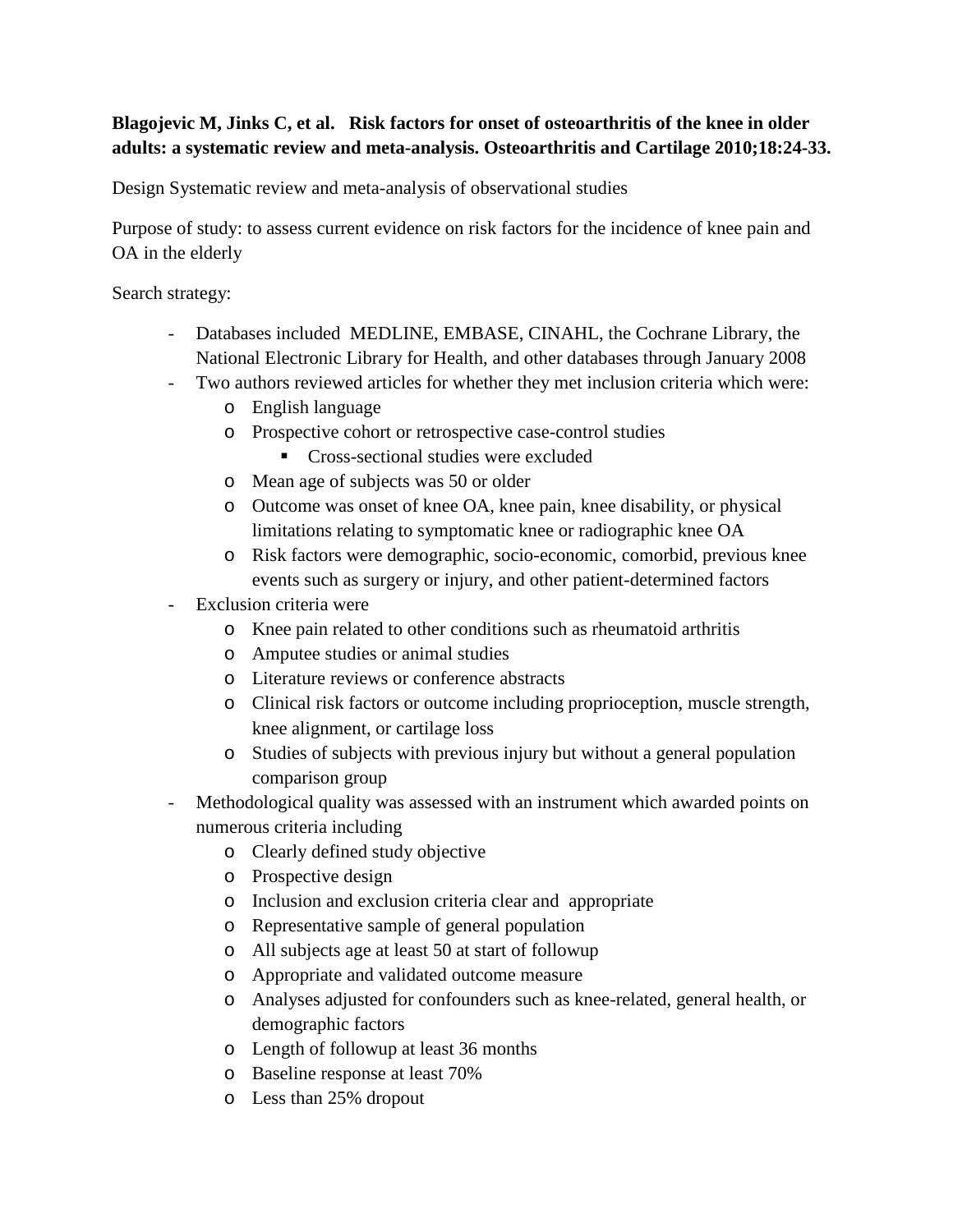## **Blagojevic M, Jinks C, et al. Risk factors for onset of osteoarthritis of the knee in older adults: a systematic review and meta-analysis. Osteoarthritis and Cartilage 2010;18:24-33.**

Design Systematic review and meta-analysis of observational studies

Purpose of study: to assess current evidence on risk factors for the incidence of knee pain and OA in the elderly

Search strategy:

- Databases included MEDLINE, EMBASE, CINAHL, the Cochrane Library, the National Electronic Library for Health, and other databases through January 2008
- Two authors reviewed articles for whether they met inclusion criteria which were:
	- o English language
	- o Prospective cohort or retrospective case-control studies
		- **Cross-sectional studies were excluded**
	- o Mean age of subjects was 50 or older
	- o Outcome was onset of knee OA, knee pain, knee disability, or physical limitations relating to symptomatic knee or radiographic knee OA
	- o Risk factors were demographic, socio-economic, comorbid, previous knee events such as surgery or injury, and other patient-determined factors
- Exclusion criteria were
	- o Knee pain related to other conditions such as rheumatoid arthritis
	- o Amputee studies or animal studies
	- o Literature reviews or conference abstracts
	- o Clinical risk factors or outcome including proprioception, muscle strength, knee alignment, or cartilage loss
	- o Studies of subjects with previous injury but without a general population comparison group
- Methodological quality was assessed with an instrument which awarded points on numerous criteria including
	- o Clearly defined study objective
	- o Prospective design
	- o Inclusion and exclusion criteria clear and appropriate
	- o Representative sample of general population
	- o All subjects age at least 50 at start of followup
	- o Appropriate and validated outcome measure
	- o Analyses adjusted for confounders such as knee-related, general health, or demographic factors
	- o Length of followup at least 36 months
	- o Baseline response at least 70%
	- o Less than 25% dropout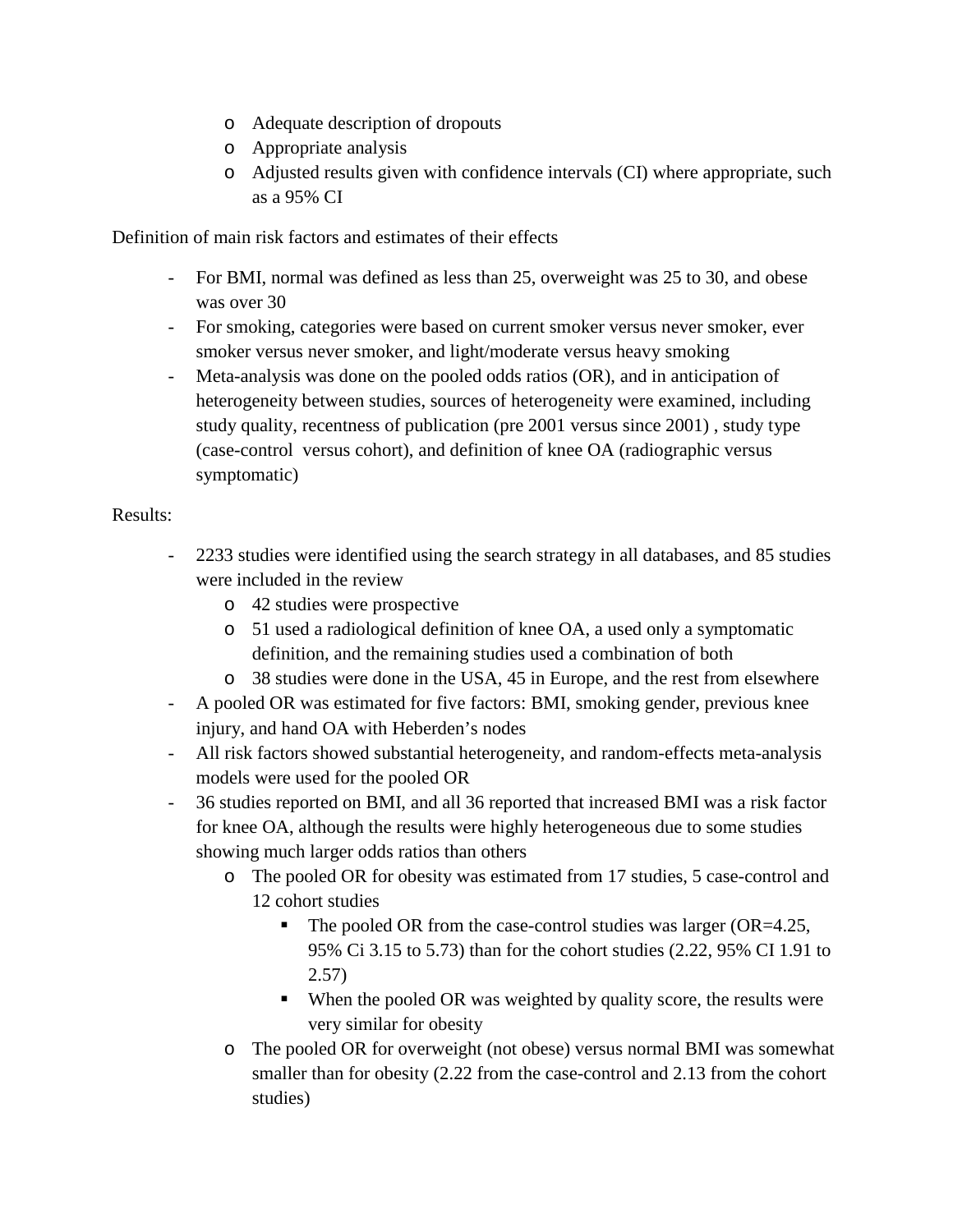- o Adequate description of dropouts
- o Appropriate analysis
- o Adjusted results given with confidence intervals (CI) where appropriate, such as a 95% CI

Definition of main risk factors and estimates of their effects

- For BMI, normal was defined as less than 25, overweight was 25 to 30, and obese was over 30
- For smoking, categories were based on current smoker versus never smoker, ever smoker versus never smoker, and light/moderate versus heavy smoking
- Meta-analysis was done on the pooled odds ratios (OR), and in anticipation of heterogeneity between studies, sources of heterogeneity were examined, including study quality, recentness of publication (pre 2001 versus since 2001) , study type (case-control versus cohort), and definition of knee OA (radiographic versus symptomatic)

## Results:

- 2233 studies were identified using the search strategy in all databases, and 85 studies were included in the review
	- o 42 studies were prospective
	- o 51 used a radiological definition of knee OA, a used only a symptomatic definition, and the remaining studies used a combination of both
	- o 38 studies were done in the USA, 45 in Europe, and the rest from elsewhere
- A pooled OR was estimated for five factors: BMI, smoking gender, previous knee injury, and hand OA with Heberden's nodes
- All risk factors showed substantial heterogeneity, and random-effects meta-analysis models were used for the pooled OR
- 36 studies reported on BMI, and all 36 reported that increased BMI was a risk factor for knee OA, although the results were highly heterogeneous due to some studies showing much larger odds ratios than others
	- o The pooled OR for obesity was estimated from 17 studies, 5 case-control and 12 cohort studies
		- The pooled OR from the case-control studies was larger (OR=4.25, 95% Ci 3.15 to 5.73) than for the cohort studies (2.22, 95% CI 1.91 to 2.57)
		- When the pooled OR was weighted by quality score, the results were very similar for obesity
	- o The pooled OR for overweight (not obese) versus normal BMI was somewhat smaller than for obesity (2.22 from the case-control and 2.13 from the cohort studies)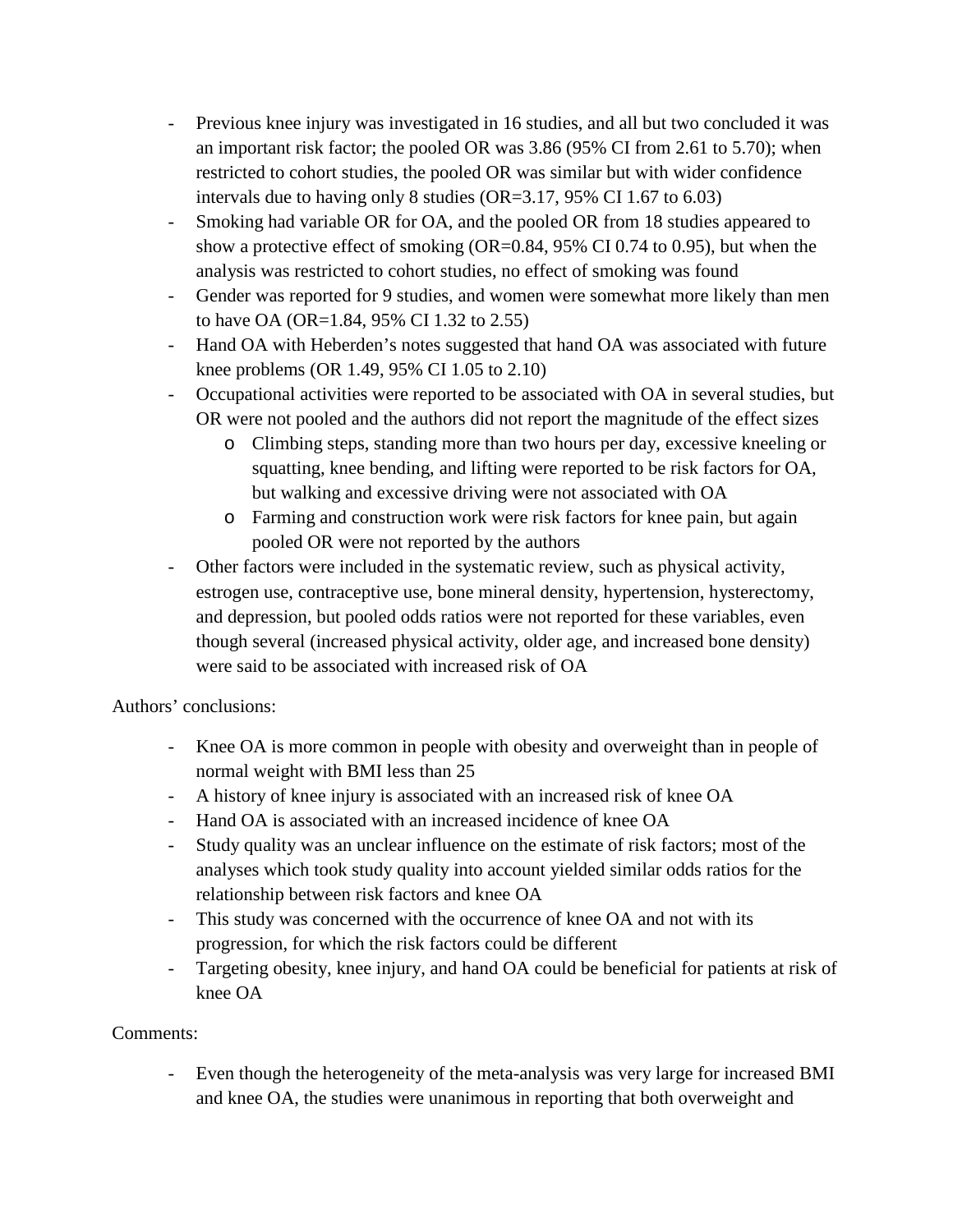- Previous knee injury was investigated in 16 studies, and all but two concluded it was an important risk factor; the pooled OR was 3.86 (95% CI from 2.61 to 5.70); when restricted to cohort studies, the pooled OR was similar but with wider confidence intervals due to having only 8 studies (OR=3.17, 95% CI 1.67 to 6.03)
- Smoking had variable OR for OA, and the pooled OR from 18 studies appeared to show a protective effect of smoking (OR=0.84, 95% CI 0.74 to 0.95), but when the analysis was restricted to cohort studies, no effect of smoking was found
- Gender was reported for 9 studies, and women were somewhat more likely than men to have OA (OR=1.84, 95% CI 1.32 to 2.55)
- Hand OA with Heberden's notes suggested that hand OA was associated with future knee problems (OR 1.49, 95% CI 1.05 to 2.10)
- Occupational activities were reported to be associated with OA in several studies, but OR were not pooled and the authors did not report the magnitude of the effect sizes
	- o Climbing steps, standing more than two hours per day, excessive kneeling or squatting, knee bending, and lifting were reported to be risk factors for OA, but walking and excessive driving were not associated with OA
	- o Farming and construction work were risk factors for knee pain, but again pooled OR were not reported by the authors
- Other factors were included in the systematic review, such as physical activity, estrogen use, contraceptive use, bone mineral density, hypertension, hysterectomy, and depression, but pooled odds ratios were not reported for these variables, even though several (increased physical activity, older age, and increased bone density) were said to be associated with increased risk of OA

Authors' conclusions:

- Knee OA is more common in people with obesity and overweight than in people of normal weight with BMI less than 25
- A history of knee injury is associated with an increased risk of knee OA
- Hand OA is associated with an increased incidence of knee OA
- Study quality was an unclear influence on the estimate of risk factors; most of the analyses which took study quality into account yielded similar odds ratios for the relationship between risk factors and knee OA
- This study was concerned with the occurrence of knee OA and not with its progression, for which the risk factors could be different
- Targeting obesity, knee injury, and hand OA could be beneficial for patients at risk of knee OA

## Comments:

- Even though the heterogeneity of the meta-analysis was very large for increased BMI and knee OA, the studies were unanimous in reporting that both overweight and